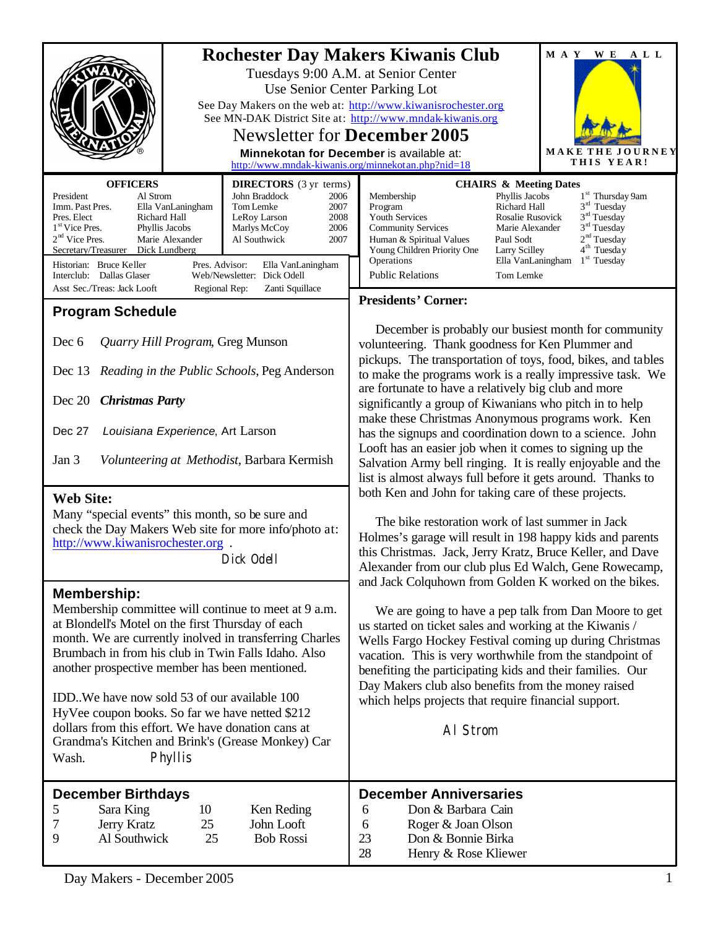|                                                                                                                                                                                                                                                                                                                                                                                                                                                                                                                                                                                                                                                                                                                                                                                                                                                                                      |                                                                                                                                                                                                                                                                                                                                                                         | <b>Rochester Day Makers Kiwanis Club</b><br>Tuesdays 9:00 A.M. at Senior Center<br>Use Senior Center Parking Lot<br>See Day Makers on the web at: http://www.kiwanisrochester.org<br>See MN-DAK District Site at: http://www.mndak-kiwanis.org<br><b>Newsletter for December 2005</b><br>Minnekotan for December is available at:<br>http://www.mndak-kiwanis.org/minnekotan.php?nid=18                                                                                                                                                                                                                                                                                                                                                                                                                                                                                                                                                                                                                                                                                                                                                                                                                                                                                                                                                                                                                                                                                                                                                       | MAY WE<br>ALL<br>MAKE<br>JOURNEY<br>THIS YEAR!                                                                                                         |
|--------------------------------------------------------------------------------------------------------------------------------------------------------------------------------------------------------------------------------------------------------------------------------------------------------------------------------------------------------------------------------------------------------------------------------------------------------------------------------------------------------------------------------------------------------------------------------------------------------------------------------------------------------------------------------------------------------------------------------------------------------------------------------------------------------------------------------------------------------------------------------------|-------------------------------------------------------------------------------------------------------------------------------------------------------------------------------------------------------------------------------------------------------------------------------------------------------------------------------------------------------------------------|-----------------------------------------------------------------------------------------------------------------------------------------------------------------------------------------------------------------------------------------------------------------------------------------------------------------------------------------------------------------------------------------------------------------------------------------------------------------------------------------------------------------------------------------------------------------------------------------------------------------------------------------------------------------------------------------------------------------------------------------------------------------------------------------------------------------------------------------------------------------------------------------------------------------------------------------------------------------------------------------------------------------------------------------------------------------------------------------------------------------------------------------------------------------------------------------------------------------------------------------------------------------------------------------------------------------------------------------------------------------------------------------------------------------------------------------------------------------------------------------------------------------------------------------------|--------------------------------------------------------------------------------------------------------------------------------------------------------|
| <b>OFFICERS</b><br>President<br>Al Strom<br>Imm. Past Pres.<br>Ella VanLaningham<br>Richard Hall<br>Pres. Elect<br>1 <sup>st</sup> Vice Pres.<br>Phyllis Jacobs<br>$2nd$ Vice Pres.<br>Marie Alexander<br>Secretary/Treasurer<br>Dick Lundberg<br>Historian: Bruce Keller<br>Interclub: Dallas Glaser<br>Asst Sec./Treas: Jack Looft<br><b>Program Schedule</b><br>Dec 6<br>Quarry Hill Program, Greg Munson<br>Dec 13<br>Dec 20<br><b>Christmas Party</b><br>Dec 27<br>Louisiana Experience, Art Larson<br>Jan 3<br><b>Web Site:</b><br>Many "special events" this month, so be sure and<br>check the Day Makers Web site for more info/photo at:<br>http://www.kiwanisrochester.org.<br><b>Membership:</b><br>Membership committee will continue to meet at 9 a.m.<br>at Blondell's Motel on the first Thursday of each<br>month. We are currently inolved in transferring Charles | <b>DIRECTORS</b> (3 yr terms)<br>John Braddock<br>2006<br>Tom Lemke<br>2007<br>2008<br>LeRoy Larson<br>2006<br>Marlys McCoy<br>Al Southwick<br>2007<br>Pres. Advisor:<br>Ella VanLaningham<br>Web/Newsletter: Dick Odell<br>Regional Rep:<br>Zanti Squillace<br>Reading in the Public Schools, Peg Anderson<br>Volunteering at Methodist, Barbara Kermish<br>Dick Odell | <b>CHAIRS &amp; Meeting Dates</b><br>Phyllis Jacobs<br>Membership<br>Richard Hall<br>Program<br><b>Youth Services</b><br>Rosalie Rusovick<br><b>Community Services</b><br>Marie Alexander<br>Human & Spiritual Values<br>Paul Sodt<br>Young Children Priority One<br>Larry Scilley<br>Operations<br>Ella VanLaningham<br><b>Public Relations</b><br>Tom Lemke<br><b>Presidents' Corner:</b><br>December is probably our busiest month for community<br>volunteering. Thank goodness for Ken Plummer and<br>pickups. The transportation of toys, food, bikes, and tables<br>to make the programs work is a really impressive task. We<br>are fortunate to have a relatively big club and more<br>significantly a group of Kiwanians who pitch in to help<br>make these Christmas Anonymous programs work. Ken<br>has the signups and coordination down to a science. John<br>Looft has an easier job when it comes to signing up the<br>Salvation Army bell ringing. It is really enjoyable and the<br>list is almost always full before it gets around. Thanks to<br>both Ken and John for taking care of these projects.<br>The bike restoration work of last summer in Jack<br>Holmes's garage will result in 198 happy kids and parents<br>this Christmas. Jack, Jerry Kratz, Bruce Keller, and Dave<br>Alexander from our club plus Ed Walch, Gene Rowecamp,<br>and Jack Colquhown from Golden K worked on the bikes.<br>We are going to have a pep talk from Dan Moore to get<br>us started on ticket sales and working at the Kiwanis / | 1 <sup>st</sup> Thursday 9am<br>$3rd$ Tuesday<br>$3rd$ Tuesday<br>$3rd$ Tuesday<br>2 <sup>nd</sup> Tuesday<br>4 <sup>th</sup> Tuesday<br>$1st$ Tuesday |
| Brumbach in from his club in Twin Falls Idaho. Also<br>another prospective member has been mentioned.<br>IDD. We have now sold 53 of our available 100<br>HyVee coupon books. So far we have netted \$212<br>dollars from this effort. We have donation cans at<br>Grandma's Kitchen and Brink's (Grease Monkey) Car<br>Phyllis<br>Wash.                                                                                                                                                                                                                                                                                                                                                                                                                                                                                                                                             |                                                                                                                                                                                                                                                                                                                                                                         | Wells Fargo Hockey Festival coming up during Christmas<br>vacation. This is very worthwhile from the standpoint of<br>benefiting the participating kids and their families. Our<br>Day Makers club also benefits from the money raised<br>which helps projects that require financial support.<br>AI Strom<br><b>December Anniversaries</b>                                                                                                                                                                                                                                                                                                                                                                                                                                                                                                                                                                                                                                                                                                                                                                                                                                                                                                                                                                                                                                                                                                                                                                                                   |                                                                                                                                                        |
| <b>December Birthdays</b><br>5<br>Sara King<br>10<br>Ken Reding<br>7<br>John Looft<br>Jerry Kratz<br>25<br>Al Southwick<br>9<br>25<br><b>Bob Rossi</b>                                                                                                                                                                                                                                                                                                                                                                                                                                                                                                                                                                                                                                                                                                                               |                                                                                                                                                                                                                                                                                                                                                                         | Don & Barbara Cain<br>6<br>Roger & Joan Olson<br>6<br>23<br>Don & Bonnie Birka<br>28<br>Henry & Rose Kliewer                                                                                                                                                                                                                                                                                                                                                                                                                                                                                                                                                                                                                                                                                                                                                                                                                                                                                                                                                                                                                                                                                                                                                                                                                                                                                                                                                                                                                                  |                                                                                                                                                        |